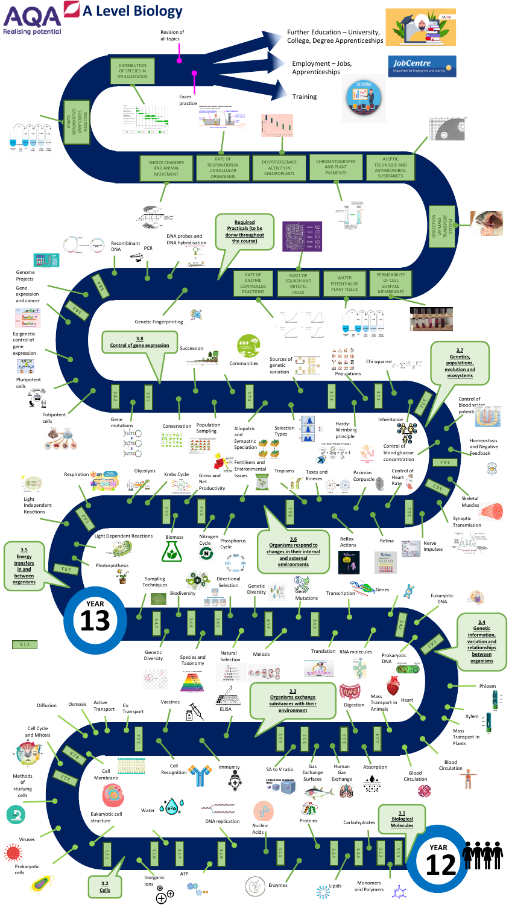